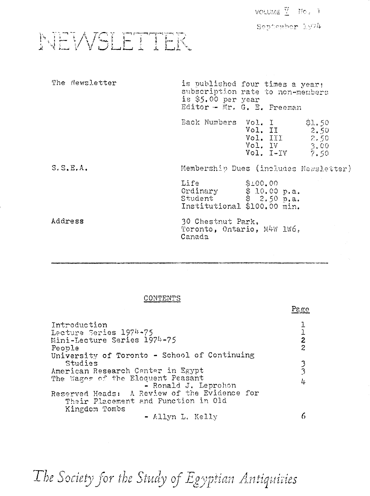VOLUME **X** No. 1

September 1974

NEWSLETTER

| The Newsletter | is \$5.00 per year<br>Editor - Mr. G. E. Freeman                                                | is published four times a year:<br>subscription rate to non-members     |
|----------------|-------------------------------------------------------------------------------------------------|-------------------------------------------------------------------------|
|                | Back Numbers Vol. I                                                                             | \$1.50<br>Vol. II<br>2.50<br>Vol. III 2.50<br>Vol. IV<br>Vol. I-IV 7.50 |
| S, S, E, A     | Membership Dues (includes Newsletter)                                                           |                                                                         |
|                | Life<br>Ordinary $\hat{\$}$ 10.00 p.a.<br>Student $\$$ 2.50 p.a.<br>Institutional \$100.00 min. | \$100.00                                                                |
| Address        | 30 Chestnut Park.<br>Toronto, Ontario, M4W 1W6,<br>Canada                                       |                                                                         |

## CONTENTS

|                                                                                                                                                           | - ಇದ          |
|-----------------------------------------------------------------------------------------------------------------------------------------------------------|---------------|
| Introduction<br>Lecture Series 1974-75<br>Mini-Lecture Series 1974-75<br>People<br>University of Toronto - School of Continuing                           | $\frac{1}{2}$ |
| Studies<br>American Research Center in Egypt<br>The Wages of the Eloquent Peasant<br>- Ronald J. Leprohon<br>Reserved Heads: A Review of the Evidence for | $\frac{3}{3}$ |
| Their Placement and Function in Old<br>Kingdom Tombs<br>- Allyn L. Kelly                                                                                  |               |

The Society for the Study of Egyptian Antiquities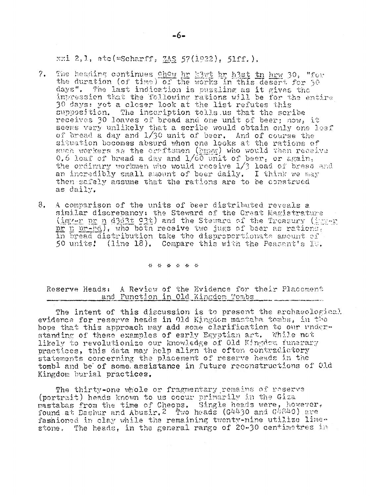xxi 2.1,  $etc( = Scharf; 3AS 57(i922), 51ff.$ .

- ?. The heading continues  $\frac{\text{ch} \alpha y}{\text{ch} x}$  he hast tn hrw 30, "for the duration (of time) of the works in this desert for  $50<sup>-1</sup>$ *days".* The last indication is pussiing as it gives the impression that the following rations will be for the entire 30 days: yet a closer look at the list refutes this supposition. The inscription tells.us that the scribe receives 30 loaves of bread and one unit of beer; now, it seems very unlikely that a scribe would obtain only one loaf of bread a day and 1/30 unit of beer. And of course the situation becomes absurd when one looks at the rations of such workers as the craftsmen (hmww) who would then receive 0.6 loaf of bread a day and 1/60 unit of beer, or again, the ordinary workmen who would receive 1/3 load of bread and an incredibly small amount of beer daily. I think we may then safely assume that the rations are to be construed as daily,
- 8, A comparison of the units of beer distributed reveals a similar discrepancy: the Steward of the Great Magistrature (imy-r pr n d303t 23t) and the Steward of the Treasury (ingv-r) pr n pr-bd), who both receive two jugs of beer as rations, in bread distribution take the disproportionate amount, of 50 units! (line 18). Compare this with the Peasant's 10.

*a ->:-*

Reserve Heads: A Review of the Evidence for their Placement and Function in Old Kingdom Tombs

The intent of this discussion is to present the archaeological evidence for reserve heads in Old Kingdom mastaba tombs, in the hope that this approach may add some clarification to our understanding of these examples of early Egyptian art, While- not likely to revolutionise our knowledge of Old Kingdom funerary practices, this data may help align the often contradictory statements concerning the placement of reserve heads in the tombl and be' of some, assistance in future reconstructions of Old Kingdom burial practices.

The thirty-one whole or fragmentary remains of reserve (portrait) heads known to us occur primarily in the Giza mastabas from the time of Cheoos, Single heads were, however, found at Dashur and Abusir. 2 Two heads (G4430 and G4840) are fashioned in clay while the remaining twenty-nine utilize limestone. The heads, in the general range of 20-30 centimetres in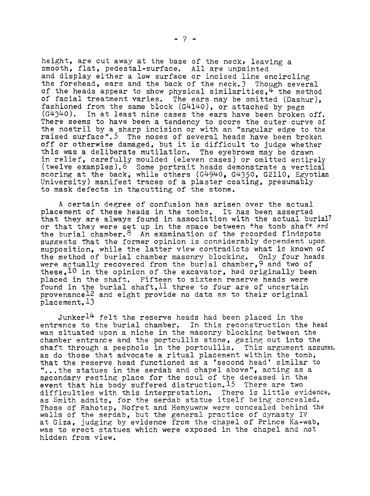height, are cut away at the base of the neck, leaving a smooth, flat, pedestal-surface. All are unpainted and display either a low surface or incised line encircling the forehead, ears and the back of the neck.3 Though several of the heads appear to show physical similarities,  $4$  the method of facial treatment varies. The ears may be omitted (Dashur), fashioned from the same block (G4140), or attached by pegs  $(G4340)$ . In at least nine cases the ears have been broken off. There seems to have been a tendency to score the outer curve of the nostril by a sharp incision or with an "angular edge to the raised surface".<sup>5</sup> The noses of several heads have been broken off or otherwise damaged, but it is difficult to judge whether this was a deliberate mutilation. The eyebrows may be drawn in relief, carefully moulded (eleven cases) or omitted entirely (twelve examples).6 Some portrait heads demonstrate a vertical scoring at the back, while others  $(G4940, G4350, G2110,$  Egyptian University) manifest traces of a plaster coating, presumably to mask defects in thecutting of the stone.

A certain degree of confusion has arisen over the actual placement of these heads in the tombs. It has been asserted that they are always found in association with the actual burial? or that they were set up in the space between the tomb shaft and the burial chamber.  $8$  An examination of the recorded findspots suggests that the former opinion is considerably dependent upon supposition, while the latter view contradicts what is known of the method of burial chamber masonry blocking. Only four heads were actually recovered from the burial chamber,9 and two of these,  $10$  in the opinion of the excavator, had originally been placed in the shaft. Fifteen to sixteen reserve heads were found in the burial shaft,  $11$  three to four are of uncertain provenance<sup>12</sup> and eight provide no data as to their original placement.13

Junker $14$  felt the reserve heads had been placed in the entrance to the burial chamber. In this reconstruction the head was situated upon a niche in the masonry blocking between the chamber entrance and the portcullis stone, gazing out into the shaft through a peephole in the portcullis. This argument assumes, as do those that advocate a ritual placement within the tomb, that the reserve head functioned as a 'second head' similar to "...the statues in the serdab and chapel above", acting as a secondary resting place for thè soul of the deceased in the event that his body suffered distruction.<sup>15</sup> There are two difficulties with this interpretation. There is little evidence, as Smith admits, for the serdab statue itself being concealed. Those of Rahotep, Nofret and Hemyuwnw were concealed behind the walls of the serdab, but the general practice of dynasty IV at Giza, judging by evidence from the chapel of Prince Ka-wab, was to erect statues which were exposed in the chapel and not hidden from view.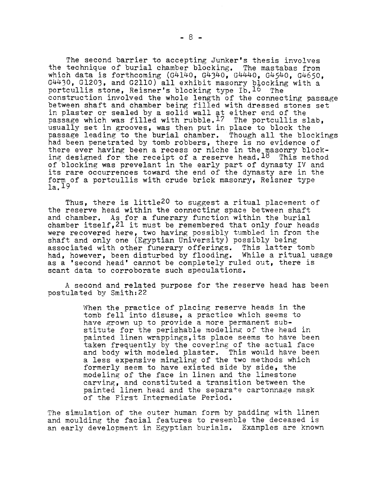The second barrier to accepting Junker's thesis involves the technique of burial chamber blocking. The mastabas from which data is forthcoming (G4140, G4340, G4440, G4540, G4650. G4430, G1203, and G2110) all exhibit masonry blocking with a portcullis stone, Reisner's blocking type Ib. $^{\rm 16}$  The construction involved the whole length of the connecting passage between shaft and chamber being filled with dressed stones set in plaster or sealed by a solid wall at either end of the passage which was filled with rubble.<sup>17</sup> The portcullis slab, usually set in grooves, was then put in place to block the passage leading to the burial chamber. Though all the blockings had been penetrated by tomb robbers, there is no evidence of there ever having been a recess or niche in the masonry blocking designed for the receipt of a reserve head, 18 This method of blocking was prevelant in the early part of dynasty IV and its rare occurrences toward the end of the dynasty are in the form of a portcullis with crude brick masonry, Reisner type la. <sup>19</sup>

Thus, there is little<sup>20</sup> to suggest a ritual placement of the reserve head within the connecting space between shaft and chamber. As for a funerary function within the burial chamber itself,21 it must be remembered that only four heads were recovered here, two having possibly tumbled in from the shaft and only one (Egyptian University) possibly being associated with other funerary offerings. This latter tomb had, however, been disturbed by flooding. While a ritual usage as a 'second head' cannot be completely ruled out, there is scant data to corroborate such speculations.

A second and related purpose for the reserve head has been postulated by Smith:22

> When the practice of placing reserve heads in the tomb fell into disuse, a practice which seems to have grown up to provide a more permanent substitute for the perishable modeling of the head in painted linen wrappings,its place seems to have been taken frequently by the covering of the actual face<br>and body with modeled plaster. This would have been and body with modeled plaster. a less expensive mingling of the two methods which formerly seem to have existed side by side, the modeling of the face in linen and the limestone carving, and constituted a transition between the painted linen head and the separate cartonnage mask of the First Intermediate Period.

The simulation of the outer human form by padding with linen and moulding the facial features to resemble the deceased is an early development in Egyptian burials. Examples are known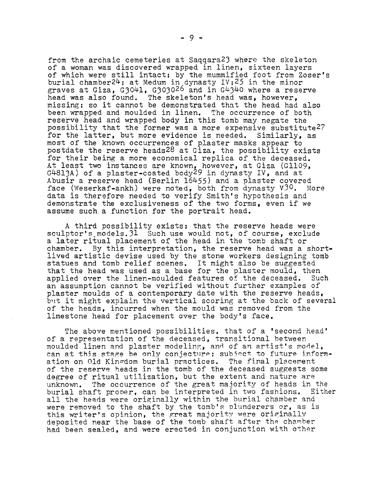from the archaic cemeteries at Saqqara23 where the skeleton of a woman was discovered wrapped in linen, sixteen layers of which were still intact; by the mummified foot from Zoser's burial chamber24; at Medum in dynasty IV;25 in the minor graves at Giza, G3041, G3030<sup>26</sup> and in G4340 where a reserve head was also found. The skeleton's head was, however, missing; so it cannot be demonstrated that the head had also been wrapped and moulded in linen. The occurrence of both reserve head and wrapped body in this tomb may negate the possibility that the former was a more expensive substitute2? for the latter, but more evidence is needed. Similarly, as most of the known occurrences of plaster masks appear to postdate the reserve heads28 at Giza, the possibility exists for their being a more economical replica of the deceased. At least two instances are known, however, at Giza (G1109, G4813A) of a plaster-coated body $^{29}$  in dynasty IV, and at Abusir a reserve head (Berlin 16455) and a plaster covered face (Weserkaf-ankh) were noted, both from dynasty V $30$ . More data is therefore needed to verify Smith's hypothesis and demonstrate the exclusiveness of the two forms, even if we assume such a function for the portrait head.

A third possibility exists; that the reserve heads were sculptor's models.  $31$  Such use would not, of course, exclude a later ritual placement of the head in the tomb shaft or chamber. By this interpretation, the reserve head was a shortlived artistic devise used by the stone workers designing tomb statues and tomb relief scenes. It might also be suggested that the head was used as a base for the plaster mould, then applied over the linen-moulded features of the deceased. Such an assumption cannot be verified without further examples of plaster moulds of a contemporary date with the reserve heads, but it might explain the vertical scoring at the back of several of the heads, incurred when the mould was removed from the limestone head for placement over the body's face.

The above mentioned possibilities, that of a 'second head' of a representation of the deceased, transitional between moulded linen and plaster modeling, and of an artist's model, can at this stage be only conjecture; subject to future information on Old Kingdom burial practices. The final placement of the reserve heads in the tomb of the deceased suggests some degree of ritual utilization, but the extent and nature are unknown. The occurrence of the great majority of heads in the burial shaft proper, can be interpreted in two fashions. Either all the heads were originally within the burial chamber and were removed to the shaft by the tomb's plunderers or, as is this writer's opinion, the great majority were originally deposited near the base of the tomb shaft after the chamber had been sealed, and were erected in conjunction with other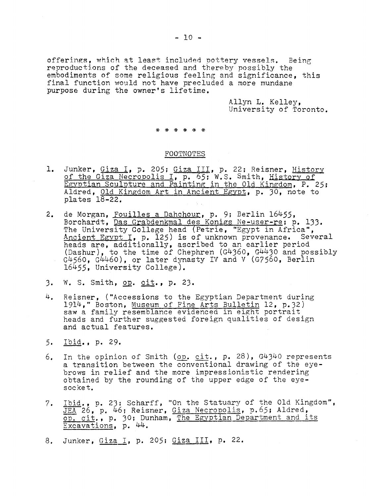Allyn L. Kelley, University of Toronto.

## \* \* \* \* \* \*

## FOOTNOTES

- 1. Junker, Giza I, p. 205; Giza III, p. 22; Reisner, History of the Giza Necropolis I, p. 65; W.S. Smith, History of Egyptian Sculpture and Painting in the Old Kingdom. P. 25» Aldred, Old Kingdom Art in Ancient Egypt, p. 30, note to plates 18-22.
- 2. de Morgan, <u>Fouilles a Dahchour</u>, p. 9; Berlin 16455, Borchardt, Das Grabdenkmal des Konigs Ne-user-re; p. 133 , The University College head (Petrie, "Egypt in Africa", Ancient Egypt I, p. 125) is of unknown provenance. Several heads are, additionally, ascribed to an earlier period (Dashur), to the time of Chephren (G4360, G4430 and possibly G4560, G4460), or later dynasty IV and V (G7560, Berlin 16455 , University College).
- 3. W. S. Smith, op. cit., p. 23.
- 4. Reisner, ("Accessions to the Egyptian Department during 1914," Boston, Museum of Fine Arts Bulletin 12, p.32) saw a family resemblance evidenced in eight portrait heads and further suggested foreign qualities of design and actual features.
- 5. Ibid., p. 29.
- 6. In the opinion of Smith (op.  $cit$ ., p. 28), G4340 represents a transition between the conventional drawing of the eyebrows in relief and the more impressionistic rendering obtained by the rounding of the upper edge of the eyesocket.
- 7. Ibid., p. 23; Scharff, "On the Statuary of the Old Kingdom", JEA 26, p. 46; Reisner, Giza Necropolis, p.65; Aldred, op. cit., p. 30; Dunham, The Egyptian Department and its Excavations, p. 44.
- 8. Junker, Giza I, p. 205; Giza III, p. 22.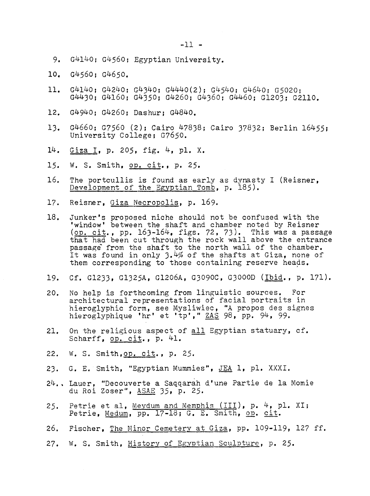- 9. G4140; G4560; Egyptian University.
- 10. G4560: G4650.
- 11. G4140; G4240; G4340; G4440(2); G4540; G4640; G5020 ; G4430; G4160; G4350; G4260; G4360; G4460; G1203; G2110.
- 12. G4940; G4260; Dashur; G4840.
- University College; *G7650.*  13. G4660; G7560 (2); Cairo 47838; Cairo 37832; Berlin 16455;
- 14. Giza I, p. 205, fig. 4, pl. X.
- 15. W. S. Smith, op. cit., p. 25.
- 16. The portcullis is found as early as dynasty I (Reisner, Development of the Egyptian Tomb, p. 185).
- 17. Reisner, Giza Necropolis, p. 169.
- 18. Junker's proposed niche should not be confused with the window' between the shaft and chamber noted by Reisner (<u>op. cit</u>., pp. 163–164, figs. 72, 73). This was a passage that had been cut through the rock wall above the entrance passage from the shaft to the north wall of the chamber.  $\,$ It was found in only 3.4% of the shafts at Giza, none of them corresponding to those containing reserve heads.
- 19. Cf. G1233, G1325A, G1206A, G3090C, G3000D (Ibid., p. 171).
- 20. No help is forthcoming from linguistic sources. For architectural representations of facial portraits in hieroglyphic form, see Mysliwiec, "A propos des signes hieroglyphique 'hr' et 'tp'," ZAS 98, pp. 94, 99.
- 21. On the religious aspect of all Egyptian statuary, cf. Scharff, op. cit., p. 41.
- 22. W. S. Smith, op. cit., p. 25.
- 23. G. E. Smith, "Egyptian Mummies", JEA 1, pl. XXXI.
- 24., Lauer, "Découverte a Saqqarah d'une Partie de la Momie du Roi Zoser", ASAE 35, p. 25.
- 25. Petrie et al, Meydum and Memphis  $(III)$ , p. 4, pl. XI; Petrie, Medum, pp. 17-18; G. E. Smith, op. cit.
- 26. Fischer, The Minor Cemetery at Giza, pp. 109-119, 127 ff.
- 27. W. S. Smith, History of Egyptian Sculpture, p. 25.